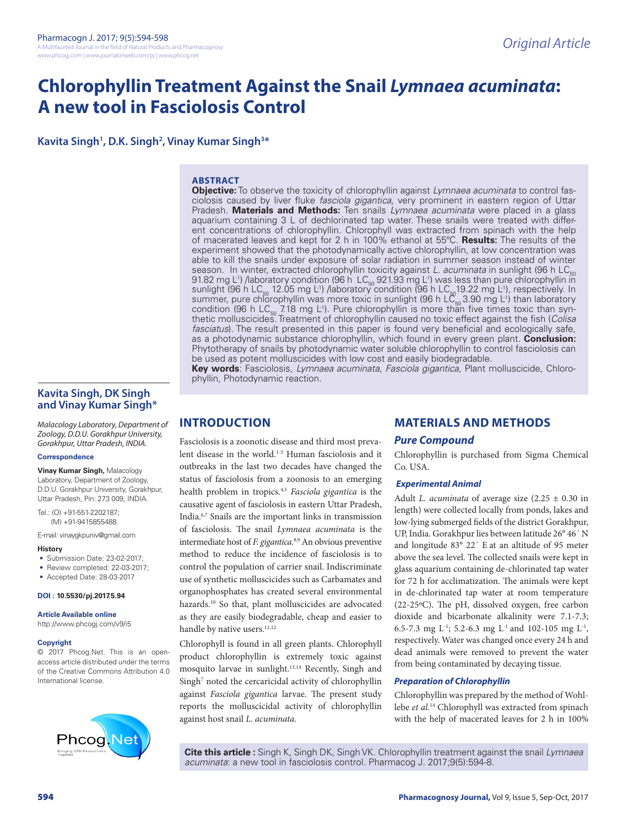# **Chlorophyllin Treatment Against the Snail** *Lymnaea acuminata***: A new tool in Fasciolosis Control**

**Kavita Singh<sup>1</sup>, D.K. Singh<sup>2</sup>, Vinay Kumar Singh<sup>3\*</sup>** 

### **ABSTRACT**

**Objective:** To observe the toxicity of chlorophyllin against *Lymnaea acuminata* to control fasciolosis caused by liver fluke *fasciola gigantica*, very prominent in eastern region of Uttar Pradesh. **Materials and Methods:** Ten snails *Lymnaea acuminata* were placed in a glass aquarium containing 3 L of dechlorinated tap water. These snails were treated with different concentrations of chlorophyllin. Chlorophyll was extracted from spinach with the help of macerated leaves and kept for 2 h in 100% ethanol at 55ºC. **Results:** The results of the experiment showed that the photodynamically active chlorophyllin, at low concentration was able to kill the snails under exposure of solar radiation in summer season instead of winter season. In winter, extracted chlorophyllin toxicity against *L. acuminata* in sunlight (96 h LC<sub>50</sub>) 91.82 mg L<sup>-1</sup>) /laboratory condition (96 h LC<sub>50</sub> 921.93 mg L<sup>-1</sup>) was less than pure chlorophyllin in sunlight (96 h LC $_{\rm 50}$  12.05 mg L<sup>1</sup>) /laboratory condition (96 h LC $_{\rm 50}$ 19.22 mg L<sup>1</sup>), respectively. In summer, pure chlorophyllin was more toxic in sunlight (96 h  $LC_{50}$  3.90 mg L<sup>-1</sup>) than laboratory condition (96 h LC<sub>50</sub> 7.18 mg L<sup>1</sup>). Pure chlorophyllin is more than five times toxic than synthetic molluscicides. Treatment of chlorophyllin caused no toxic effect against the fish (*Colisa fasciatus*). The result presented in this paper is found very beneficial and ecologically safe, as a photodynamic substance chlorophyllin, which found in every green plant. **Conclusion:**  Phytotherapy of snails by photodynamic water soluble chlorophyllin to control fasciolosis can be used as potent molluscicides with low cost and easily biodegradable.

**Key words**: Fasciolosis*, Lymnaea acuminata, Fasciola gigantica,* Plant molluscicide, Chlorophyllin, Photodynamic reaction.

# **Kavita Singh, DK Singh and Vinay Kumar Singh\***

*Malacology Laboratory, Department of Zoology, D.D.U. Gorakhpur University, Gorakhpur, Uttar Pradesh, INDIA.*

#### **Correspondence**

**Vinay Kumar Singh,** Malacology Laboratory, Department of Zoology, D.D.U. Gorakhpur University, Gorakhpur, Uttar Pradesh, Pin: 273 009, INDIA.

Tel.: (O) +91-551-2202187; (M) +91-9415855488.

E-mail: vinaygkpuniv@gmail.com

#### **History**

- Submission Date: 23-02-2017:
- Review completed: 22-03-2017;
- Accepted Date: 28-03-2017

#### **DOI : 10.5530/pj.2017.5.94**

#### **Article Available online**

http://www.phcogj.com/v9/i5

#### **Copyright**

© 2017 Phcog.Net. This is an openaccess article distributed under the terms of the Creative Commons Attribution 4.0 International license.



# **INTRODUCTION**

Fasciolosis is a zoonotic disease and third most prevalent disease in the world.<sup>1-3</sup> Human fasciolosis and it outbreaks in the last two decades have changed the status of fasciolosis from a zoonosis to an emerging health problem in tropics.4,5 *Fasciola gigantica* is the causative agent of fasciolosis in eastern Uttar Pradesh, India.6,7 Snails are the important links in transmission of fasciolosis. The snail *Lymnaea acuminata* is the intermediate host of *F. gigantica.*8,9 An obvious preventive method to reduce the incidence of fasciolosis is to control the population of carrier snail. Indiscriminate use of synthetic molluscicides such as Carbamates and organophosphates has created several environmental hazards.10 So that, plant molluscicides are advocated as they are easily biodegradable, cheap and easier to handle by native users.<sup>11,12</sup>

Chlorophyll is found in all green plants. Chlorophyll product chlorophyllin is extremely toxic against mosquito larvae in sunlight.13,14 Recently, Singh and Singh<sup>7</sup> noted the cercaricidal activity of chlorophyllin against *Fasciola gigantica* larvae. The present study reports the molluscicidal activity of chlorophyllin against host snail *L*. *acuminata*.

# **MATERIALS AND METHODS**

#### *Pure Compound*

Chlorophyllin is purchased from Sigma Chemical Co. USA.

#### *Experimental Animal*

Adult *L. acuminata* of average size (2.25 ± 0.30 in length) were collected locally from ponds, lakes and low-lying submerged fields of the district Gorakhpur, UP, India. Gorakhpur lies between latitude 26° 46´ N and longitude 83° 22´ E at an altitude of 95 meter above the sea level. The collected snails were kept in glass aquarium containing de-chlorinated tap water for 72 h for acclimatization. The animals were kept in de-chlorinated tap water at room temperature (22-25ºC). The pH, dissolved oxygen, free carbon dioxide and bicarbonate alkalinity were 7.1-7.3; 6.5-7.3 mg L<sup>-1</sup>; 5.2-6.3 mg L<sup>-1</sup> and 102-105 mg L<sup>-1</sup>, respectively. Water was changed once every 24 h and dead animals were removed to prevent the water from being contaminated by decaying tissue.

#### *Preparation of Chlorophyllin*

Chlorophyllin was prepared by the method of Wohllebe *et al.*<sup>14</sup> Chlorophyll was extracted from spinach with the help of macerated leaves for 2 h in 100%

**Cite this article :** Singh K, Singh DK, Singh VK. Chlorophyllin treatment against the snail *Lymnaea acuminata*: a new tool in fasciolosis control. Pharmacog J. 2017;9(5):594-8.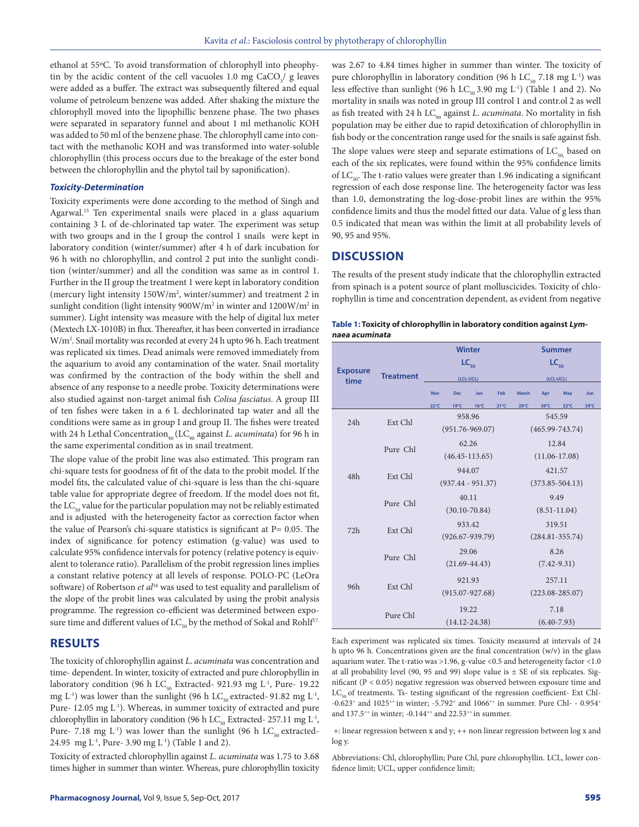ethanol at 55ºC. To avoid transformation of chlorophyll into pheophytin by the acidic content of the cell vacuoles  $1.0 \text{ mg } \text{CaCO}_3/\text{ g}$  leaves were added as a buffer. The extract was subsequently filtered and equal volume of petroleum benzene was added. After shaking the mixture the chlorophyll moved into the lipophillic benzene phase. The two phases were separated in separatory funnel and about 1 ml methanolic KOH was added to 50 ml of the benzene phase. The chlorophyll came into contact with the methanolic KOH and was transformed into water-soluble chlorophyllin (this process occurs due to the breakage of the ester bond between the chlorophyllin and the phytol tail by saponification).

#### *Toxicity-Determination*

Toxicity experiments were done according to the method of Singh and Agarwal.<sup>15</sup> Ten experimental snails were placed in a glass aquarium containing 3 L of de-chlorinated tap water. The experiment was setup with two groups and in the I group the control 1 snails were kept in laboratory condition (winter/summer) after 4 h of dark incubation for 96 h with no chlorophyllin, and control 2 put into the sunlight condition (winter/summer) and all the condition was same as in control 1. Further in the II group the treatment 1 were kept in laboratory condition (mercury light intensity 150W/m2 , winter/summer) and treatment 2 in sunlight condition (light intensity 900W/m<sup>2</sup> in winter and 1200W/m<sup>2</sup> in summer). Light intensity was measure with the help of digital lux meter (Mextech LX-1010B) in flux. Thereafter, it has been converted in irradiance W/m2 . Snail mortality was recorded at every 24 h upto 96 h. Each treatment was replicated six times. Dead animals were removed immediately from the aquarium to avoid any contamination of the water. Snail mortality was confirmed by the contraction of the body within the shell and absence of any response to a needle probe. Toxicity determinations were also studied against non-target animal fish *Colisa fasciatus*. A group III of ten fishes were taken in a 6 L dechlorinated tap water and all the conditions were same as in group I and group II. The fishes were treated with 24 h Lethal Concentration<sub>90</sub> (LC<sub>90</sub> against *L. acuminata*) for 96 h in the same experimental condition as in snail treatment.

The slope value of the probit line was also estimated. This program ran chi-square tests for goodness of fit of the data to the probit model. If the model fits, the calculated value of chi-square is less than the chi-square table value for appropriate degree of freedom. If the model does not fit, the  $LC_{50}$  value for the particular population may not be reliably estimated and is adjusted with the heterogeneity factor as correction factor when the value of Pearson's chi-square statistics is significant at  $P = 0.05$ . The index of significance for potency estimation (g-value) was used to calculate 95% confidence intervals for potency (relative potency is equivalent to tolerance ratio). Parallelism of the probit regression lines implies a constant relative potency at all levels of response. POLO-PC (LeOra software) of Robertson *et al*16 was used to test equality and parallelism of the slope of the probit lines was calculated by using the probit analysis programme. The regression co-efficient was determined between exposure time and different values of  $LC_{50}$  by the method of Sokal and Rohlf<sup>17.</sup>

# **RESULTS**

The toxicity of chlorophyllin against *L*. *acuminata* was concentration and time- dependent. In winter, toxicity of extracted and pure chlorophyllin in laboratory condition (96 h LC $_{50}$  Extracted- 921.93 mg L<sup>-1</sup>, Pure- 19.22 mg L<sup>-1</sup>) was lower than the sunlight (96 h LC<sub>50</sub> extracted- 91.82 mg L<sup>-1</sup>, Pure- 12.05 mg L<sup>-1</sup>). Whereas, in summer toxicity of extracted and pure chlorophyllin in laboratory condition (96 h LC $_{50}$  Extracted- 257.11 mg L<sup>-1</sup>, Pure- 7.18 mg  $L^{-1}$ ) was lower than the sunlight (96 h LC<sub>50</sub> extracted-24.95 mg L-1, Pure- 3.90 mg L-1) (Table 1 and 2).

Toxicity of extracted chlorophyllin against *L. acuminata* was 1.75 to 3.68 times higher in summer than winter. Whereas, pure chlorophyllin toxicity

was 2.67 to 4.84 times higher in summer than winter. The toxicity of pure chlorophyllin in laboratory condition (96 h  $LC_{50}$  7.18 mg L<sup>-1</sup>) was less effective than sunlight (96 h  $LC_{50}$  3.90 mg L<sup>-1</sup>) (Table 1 and 2). No mortality in snails was noted in group III control 1 and contr.ol 2 as well as fish treated with 24 h LC<sub>90</sub> against *L. acuminata*. No mortality in fish population may be either due to rapid detoxification of chlorophyllin in fish body or the concentration range used for the snails is safe against fish. The slope values were steep and separate estimations of  $LC_{50}$  based on

each of the six replicates, were found within the 95% confidence limits of  $LC_{\rm so}$ . The t-ratio values were greater than 1.96 indicating a significant regression of each dose response line. The heterogeneity factor was less than 1.0, demonstrating the log-dose-probit lines are within the 95% confidence limits and thus the model fitted our data. Value of g less than 0.5 indicated that mean was within the limit at all probability levels of 90, 95 and 95%.

# **DISCUSSION**

The results of the present study indicate that the chlorophyllin extracted from spinach is a potent source of plant molluscicides. Toxicity of chlorophyllin is time and concentration dependent, as evident from negative

| Table 1: Toxicity of chlorophyllin in laboratory condition against Lym- |  |
|-------------------------------------------------------------------------|--|
| naea acuminata                                                          |  |

|                         |                  |                                 | <b>Winter</b>       |                |               | <b>Summer</b>       |      |                |      |  |
|-------------------------|------------------|---------------------------------|---------------------|----------------|---------------|---------------------|------|----------------|------|--|
|                         | <b>Treatment</b> |                                 | $LC_{50}$           |                |               | $LC_{50}$           |      |                |      |  |
| <b>Exposure</b><br>time |                  |                                 | (LCL-UCL)           |                |               | (LCL-UCL)           |      |                |      |  |
|                         |                  | <b>Nov</b><br><b>Dec</b><br>Jan |                     |                | Feb           | <b>March</b>        | Apr  | May            | Jun  |  |
|                         |                  | $22^{\circ}C$                   | $19^{\circ}$ C      | $16^{\circ}$ C | $21^{\circ}C$ | $29^{\circ}C$       | 39°C | $32^{\circ}$ C | 39°C |  |
|                         | Ext Chl          |                                 | 958.96              |                |               | 545.59              |      |                |      |  |
| 24h                     |                  |                                 | $(951.76 - 969.07)$ |                |               | $(465.99 - 743.74)$ |      |                |      |  |
|                         |                  | 62.26<br>$(46.45 - 113.65)$     |                     |                |               | 12.84               |      |                |      |  |
|                         | Pure Chl         |                                 |                     |                |               | $(11.06 - 17.08)$   |      |                |      |  |
|                         |                  |                                 | 944.07              |                |               | 421.57              |      |                |      |  |
| 48h                     | Ext Chl          |                                 | $(937.44 - 951.37)$ |                |               | $(373.85 - 504.13)$ |      |                |      |  |
|                         | Pure Chl         |                                 | 40.11               |                |               | 9.49                |      |                |      |  |
|                         |                  |                                 | $(30.10 - 70.84)$   |                |               | $(8.51 - 11.04)$    |      |                |      |  |
|                         |                  | 933.42                          |                     |                |               | 319.51              |      |                |      |  |
| 72h                     | Ext Chl          |                                 | $(926.67 - 939.79)$ |                |               | $(284.81 - 355.74)$ |      |                |      |  |
|                         | Pure Chl         | 29.06                           |                     |                |               | 8.26                |      |                |      |  |
|                         |                  | $(21.69 - 44.43)$               |                     |                |               | $(7.42 - 9.31)$     |      |                |      |  |
|                         |                  | 921.93                          |                     |                |               | 257.11              |      |                |      |  |
| 96h                     | Ext Chl          | $(915.07 - 927.68)$             |                     |                |               | $(223.08 - 285.07)$ |      |                |      |  |
|                         |                  |                                 |                     |                |               |                     |      |                |      |  |
|                         | Pure Chl         | 19.22                           |                     |                |               | 7.18                |      |                |      |  |
|                         |                  |                                 | $(14.12 - 24.38)$   |                |               | $(6.40 - 7.93)$     |      |                |      |  |

Each experiment was replicated six times. Toxicity measured at intervals of 24 h upto 96 h. Concentrations given are the final concentration (w/v) in the glass aquarium water. The t-ratio was >1.96, g-value <0.5 and heterogeneity factor <1.0 at all probability level (90, 95 and 99) slope value is  $\pm$  SE of six replicates. Significant (P < 0.05) negative regression was observed between exposure time and  $LC_{50}$  of treatments. Ts- testing significant of the regression coefficient- Ext Chl--0.623<sup>+</sup> and 1025<sup>++</sup> in winter; -5.792<sup>+</sup> and 1066<sup>++</sup> in summer. Pure Chl- - 0.954<sup>+</sup> and 137.5<sup>++</sup> in winter; -0.144<sup>++</sup> and 22.53<sup>++</sup> in summer.

 +: linear regression between x and y; ++ non linear regression between log x and log y.

Abbreviations: Chl, chlorophyllin; Pure Chl, pure chlorophyllin. LCL, lower confidence limit; UCL, upper confidence limit;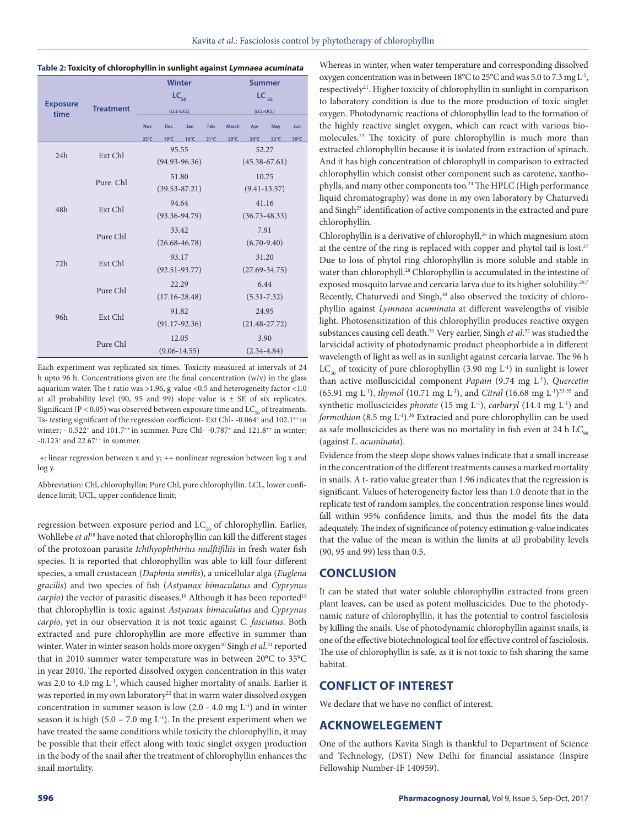#### **Table 2: Toxicity of chlorophyllin in sunlight against Lymnaea acuminata**

|                         |                               |                                        |                   | <b>Winter</b>    |               | <b>Summer</b>     |      |      |      |  |
|-------------------------|-------------------------------|----------------------------------------|-------------------|------------------|---------------|-------------------|------|------|------|--|
|                         | <b>Treatment</b>              |                                        |                   | $LC_{50}$        |               | $LC_{50}$         |      |      |      |  |
| <b>Exposure</b><br>time |                               |                                        |                   | (LCL-UCL)        |               | (LCL-UCL)         |      |      |      |  |
|                         |                               | <b>Nov</b><br><b>Dec</b><br>Jan<br>Feb |                   |                  | <b>March</b>  | May               | Jun  |      |      |  |
|                         |                               | $22^{\circ}C$                          | 19°C              | 16°C             | $21^{\circ}C$ | $29^{\circ}C$     | 39°C | 32°C | 39°C |  |
|                         | Ext Chl                       |                                        |                   | 95.55            |               | 52.27             |      |      |      |  |
| 24h                     |                               |                                        | $(94.93 - 96.36)$ |                  |               | $(45.38 - 67.61)$ |      |      |      |  |
|                         |                               | 51.80                                  |                   |                  |               | 10.75             |      |      |      |  |
|                         | Pure Chl<br>$(39.53 - 87.21)$ |                                        |                   |                  |               | $(9.41 - 13.57)$  |      |      |      |  |
|                         |                               | 94.64                                  |                   |                  |               | 41.16             |      |      |      |  |
| 48h                     | Ext Chl                       | $(93.36 - 94.79)$                      |                   |                  |               | $(36.73 - 48.33)$ |      |      |      |  |
|                         | Pure Chl                      | 33.42                                  |                   |                  |               | 7.91              |      |      |      |  |
|                         |                               | $(26.68 - 46.78)$                      |                   |                  |               | $(6.70 - 9.40)$   |      |      |      |  |
|                         |                               |                                        |                   |                  |               |                   |      |      |      |  |
| 72h                     | Ext Chl                       | 93.17                                  |                   |                  |               | 31.20             |      |      |      |  |
|                         |                               | $(92.51 - 93.77)$                      |                   |                  |               | $(27.69 - 34.75)$ |      |      |      |  |
|                         | Pure Chl                      | 22.29                                  |                   |                  |               | 6.44              |      |      |      |  |
|                         |                               | $(17.16 - 28.48)$                      |                   |                  |               | $(5.31 - 7.32)$   |      |      |      |  |
| 96 <sub>h</sub>         | Ext Chl                       | 91.82                                  |                   |                  |               | 24.95             |      |      |      |  |
|                         |                               | $(91.17-92.36)$                        |                   |                  |               | $(21.48 - 27.72)$ |      |      |      |  |
|                         | Pure Chl                      | 12.05                                  |                   |                  |               | 3.90              |      |      |      |  |
|                         |                               |                                        |                   | $(9.06 - 14.55)$ |               | $(2.34 - 4.84)$   |      |      |      |  |

Each experiment was replicated six times. Toxicity measured at intervals of 24 h upto 96 h. Concentrations given are the final concentration  $(w/v)$  in the glass aquarium water. The t-ratio was >1.96, g-value <0.5 and heterogeneity factor <1.0 at all probability level (90, 95 and 99) slope value is  $\pm$  SE of six replicates. Significant ( $P < 0.05$ ) was observed between exposure time and  $LC_{50}$  of treatments. Ts- testing significant of the regression coefficient- Ext Chl--0.064+ and 102.1++ in winter; -  $0.522^+$  and  $101.7^{++}$  in summer. Pure Chl- -0.787<sup>+</sup> and  $121.8^{++}$  in winter;  $-0.123$ <sup>+</sup> and 22.67<sup>++</sup> in summer.

 +: linear regression between x and y; ++ nonlinear regression between log x and log y.

Abbreviation: Chl, chlorophyllin; Pure Chl, pure chlorophyllin. LCL, lower confidence limit; UCL, upper confidence limit;

regression between exposure period and  $LC_{50}$  of chlorophyllin. Earlier, Wohllebe *et al*18 have noted that chlorophyllin can kill the different stages of the protozoan parasite *Ichthyophthirius mulftifiliis* in fresh water fish species. It is reported that chlorophyllin was able to kill four different species, a small crustacean (*Daphnia similis*), a unicellular alga (*Euglena gracilis*) and two species of fish (*Astyanax bimaculatus* and *Cyprynus carpio*) the vector of parasitic diseases.<sup>19</sup> Although it has been reported<sup>19</sup> that chlorophyllin is toxic against *Astyanax bimaculatus* and *Cyprynus carpio*, yet in our observation it is not toxic against *C*. *fasciatus*. Both extracted and pure chlorophyllin are more effective in summer than winter. Water in winter season holds more oxygen<sup>20</sup> Singh *et al.*<sup>21</sup> reported that in 2010 summer water temperature was in between 20°C to 35°C in year 2010. The reported dissolved oxygen concentration in this water was 2.0 to 4.0 mg L<sup>-1</sup>, which caused higher mortality of snails. Earlier it was reported in my own laboratory<sup>22</sup> that in warm water dissolved oxygen concentration in summer season is low  $(2.0 - 4.0 \text{ mg L}^{-1})$  and in winter season it is high (5.0 – 7.0 mg  $L^{-1}$ ). In the present experiment when we have treated the same conditions while toxicity the chlorophyllin, it may be possible that their effect along with toxic singlet oxygen production in the body of the snail after the treatment of chlorophyllin enhances the snail mortality.

Whereas in winter, when water temperature and corresponding dissolved oxygen concentration was in between 18°C to 25°C and was 5.0 to 7.3 mg L-1, respectively<sup>21</sup>. Higher toxicity of chlorophyllin in sunlight in comparison to laboratory condition is due to the more production of toxic singlet oxygen. Photodynamic reactions of chlorophyllin lead to the formation of the highly reactive singlet oxygen, which can react with various biomolecules.23 The toxicity of pure chlorophyllin is much more than extracted chlorophyllin because it is isolated from extraction of spinach. And it has high concentration of chlorophyll in comparison to extracted chlorophyllin which consist other component such as carotene, xanthophylls, and many other components too.<sup>24</sup> The HPLC (High performance liquid chromatography) was done in my own laboratory by Chaturvedi and Singh<sup>25</sup> identification of active components in the extracted and pure chlorophyllin.

Chlorophyllin is a derivative of chlorophyll,<sup>26</sup> in which magnesium atom at the centre of the ring is replaced with copper and phytol tail is lost.<sup>27</sup> Due to loss of phytol ring chlorophyllin is more soluble and stable in water than chlorophyll.<sup>28</sup> Chlorophyllin is accumulated in the intestine of exposed mosquito larvae and cercaria larva due to its higher solubility.<sup>29,7</sup> Recently, Chaturvedi and Singh,<sup>30</sup> also observed the toxicity of chlorophyllin against *Lymnaea acuminata* at different wavelengths of visible light. Photosensitization of this chlorophyllin produces reactive oxygen substances causing cell death.31 Very earlier, Singh *et al*. 32 was studiedthe larvicidal activity of photodynamic product pheophorbide a in different wavelength of light as well as in sunlight against cercaria larvae. The 96 h  $LC_{50}$  of toxicity of pure chlorophyllin (3.90 mg L<sup>-1</sup>) in sunlight is lower than active molluscicidal component *Papain* (9.74 mg L-1), *Quercetin* (65.91 mg L-1), *thymol* (10.71 mg L-1), and *Citral* (16.68 mg L-1)33-35 and synthetic molluscicides *phorate* (15 mg L-1), *carbaryl* (14.4 mg L-1) and *formothion* (8.5 mg L<sup>-1</sup>).<sup>36</sup> Extracted and pure chlorophyllin can be used as safe molluscicides as there was no mortality in fish even at 24 h  $LC_{\text{on}}$ (against *L*. *acuminata*).

Evidence from the steep slope shows values indicate that a small increase in the concentration of the different treatments causes a marked mortality in snails. A t- ratio value greater than 1.96 indicates that the regression is significant. Values of heterogeneity factor less than 1.0 denote that in the replicate test of random samples, the concentration response lines would fall within 95% confidence limits, and thus the model fits the data adequately. The index of significance of potency estimation g-value indicates that the value of the mean is within the limits at all probability levels (90, 95 and 99) less than 0.5.

# **CONCLUSION**

It can be stated that water soluble chlorophyllin extracted from green plant leaves, can be used as potent molluscicides. Due to the photodynamic nature of chlorophyllin, it has the potential to control fasciolosis by killing the snails. Use of photodynamic chlorophyllin against snails, is one of the effective biotechnological tool for effective control of fasciolosis. The use of chlorophyllin is safe, as it is not toxic to fish sharing the same habitat.

# **CONFLICT OF INTEREST**

We declare that we have no conflict of interest.

# **ACKNOWELEGEMENT**

One of the authors Kavita Singh is thankful to Department of Science and Technology, (DST) New Delhi for financial assistance (Inspire Fellowship Number-IF 140959).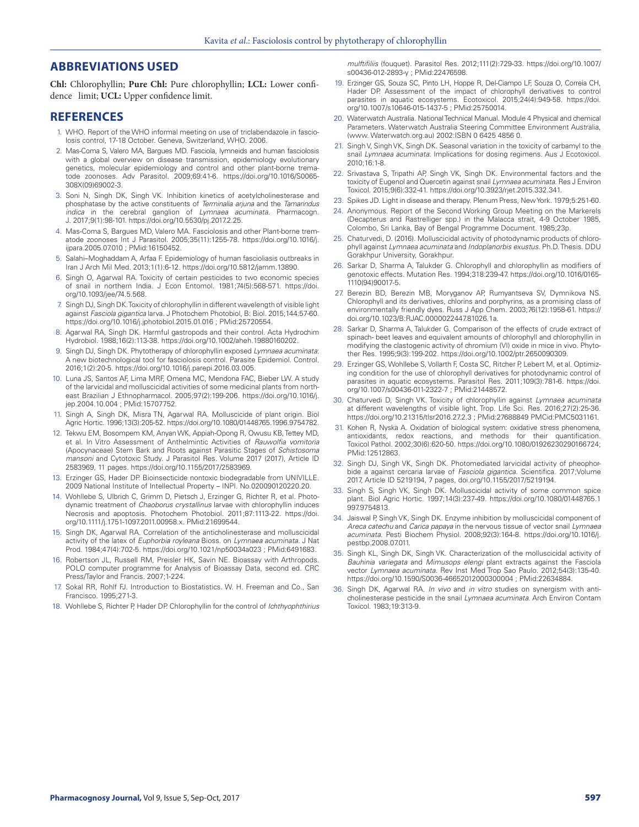# **ABBREVIATIONS USED**

**Chl:** Chlorophyllin; **Pure Chl:** Pure chlorophyllin; **LCL:** Lower confidence limit; **UCL:** Upper confidence limit.

## **REFERENCES**

- 1. WHO. Report of the WHO informal meeting on use of triclabendazole in fasciolosis control, 17-18 October. Geneva, Switzerland, WHO. 2006.
- 2. Mas-Coma S, Valero MA, Bargues MD. Fasciola, lymneids and human fasciolosis with a global overview on disease transmission, epidemiology evolutionary genetics, molecular epidemiology and control and other plant-borne trematode zoonoses. Adv Parasitol. 2009;69:41-6. https://doi.org/10.1016/S0065- 308X(09)69002-3.
- 3. Soni N, Singh DK, Singh VK. Inhibition kinetics of acetylcholinesterase and phosphatase by the active constituents of *Terminalia arjuna* and the *Tamarindus indica* in the cerebral ganglion of *Lymnaea acuminata*. Pharmacogn. J. 2017;9(1):98-101. https://doi.org/10.5530/pj.2017.2.25.
- 4. Mas-Coma S, Bargues MD, Valero MA. Fasciolosis and other Plant-borne trematode zoonoses Int J Parasitol. 2005;35(11):1255-78. https://doi.org/10.1016/j. ijpara.2005.07.010 ; PMid:16150452.
- 5. Salahi–Moghaddam A, Arfaa F. Epidemiology of human fascioliasis outbreaks in Iran J Arch Mil Med. 2013;1(1):6-12. https://doi.org/10.5812/jamm.13890.
- 6. Singh O, Agarwal RA. Toxicity of certain pesticides to two economic species of snail in northern India. J Econ Entomol. 1981;74(5):568-571. https://doi. org/10.1093/jee/74.5.568.
- 7. Singh DJ, Singh DK. Toxicity of chlorophyllin in different wavelength of visible light against *Fasciola gigantica* larva. J Photochem Photobiol, B: Biol. 2015;144:57-60. https://doi.org/10.1016/j.jphotobiol.2015.01.016 ; PMid:25720554.
- 8. Agarwal RA, Singh DK. Harmful gastropods and their control. Acta Hydrochim Hydrobiol. 1988;16(2):113-38. https://doi.org/10.1002/aheh.19880160202.
- 9. Singh DJ, Singh DK. Phytotherapy of chlorophyllin exposed *Lymnaea acuminata*: A new biotechnological tool for fasciolosis control. Parasite Epidemiol. Control. 2016;1(2):20-5. https://doi.org/10.1016/j.parepi.2016.03.005.
- 10. Luna JS, Santos AF, Lima MRF, Omena MC, Mendona FAC, Bieber LW. A study of the larvicidal and molluscicidal activities of some medicinal plants from northeast Brazilian J Ethnopharmacol. 2005;97(2):199-206. https://doi.org/10.1016/j. jep.2004.10.004 ; PMid:15707752.
- 11. Singh A, Singh DK, Misra TN, Agarwal RA. Molluscicide of plant origin. Biol Agric Hortic. 1996;13(3):205-52. https://doi.org/10.1080/01448765.1996.9754782.
- 12. Tekwu EM, Bosompem KM, Anyan WK, Appiah-Opong R, Owusu KB, Tettey MD, et al. In Vitro Assessment of Anthelmintic Activities of *Rauwolfia vomitoria* (Apocynaceae) Stem Bark and Roots against Parasitic Stages of *Schistosoma mansoni* and Cytotoxic Study. J Parasitol Res. Volume 2017 (2017), Article ID 2583969, 11 pages. https://doi.org/10.1155/2017/2583969.
- 13. Erzinger GS, Hader DP. Bioinsecticide nontoxic biodegradable from UNIVILLE. 2009 National Institute of Intellectual Property – INPI. No.020090120220.20.
- 14. Wohllebe S, Ulbrich C, Grimm D, Pietsch J, Erzinger G, Richter R, et al. Photodynamic treatment of *Chaoborus crystallinus* larvae with chlorophyllin induces Necrosis and apoptosis. Photochem Photobiol. 2011;87:1113-22. https://doi. org/10.1111/j.1751-1097.2011.00958.x. PMid:21699544.
- 15. Singh DK, Agarwal RA. Correlation of the anticholinesterase and molluscicidal activity of the latex of *Euphorbia royleana* Bioss. on *Lymnaea acuminata.* J Nat Prod. 1984;47(4):702-5. https://doi.org/10.1021/np50034a023 ; PMid:6491683.
- 16. Robertson JL, Russell RM, Preisler HK, Savin NE. Bioassay with Arthropods. POLO computer programme for Analysis of Bioassay Data, second ed. CRC Press/Taylor and Francis. 2007;1-224.
- 17. Sokal RR, Rohlf FJ. Introduction to Biostatistics. W. H. Freeman and Co., San Francisco. 1995;271-3.
- 18. Wohllebe S, Richter P, Hader DP. Chlorophyllin for the control of *Ichthyophthirius*

*mulftifiliis* (fouquet). Parasitol Res. 2012;111(2):729-33. https://doi.org/10.1007/ s00436-012-2893-y ; PMid:22476598.

- 19. Erzinger GS, Souza SC, Pinto LH, Hoppe R, Del-Ciampo LF, Souza O, Correia CH, Hader DP. Assessment of the impact of chlorophyll derivatives to control parasites in aquatic ecosystems. Ecotoxicol. 2015;24(4):949-58. https://doi. org/10.1007/s10646-015-1437-5 ; PMid:25750014.
- 20. Waterwatch Australia. National Technical Manual. Module 4 Physical and chemical Parameters. Waterwatch Australia Steering Committee Environment Australia, (www. Waterwatch.org.au) 2002:ISBN 0 6425 4856 0.
- 21. Singh V, Singh VK, Singh DK. Seasonal variation in the toxicity of carbamyl to the snail *Lymnaea acuminata*: Implications for dosing regimens. Aus J Ecotoxicol. 2010;16:1-8.
- 22. Srivastava S, Tripathi AP, Singh VK, Singh DK. Environmental factors and the toxicity of Eugenol and Quercetin against snail *Lymnaea acuminata*. Res J Environ Toxicol. 2015;9(6):332-41. https://doi.org/10.3923/rjet.2015.332.341.
- 23. Spikes JD. Light in disease and therapy. Plenum Press, New York. 1979;5:251-60.
- 24. Anonymous. Report of the Second Working Group Meeting on the Markerels (Decapterus and Rastrelliger spp.) in the Malacca strait, 4-9 October 1985, Colombo, Sri Lanka, Bay of Bengal Programme Document. 1985;23p.
- 25. Chaturvedi, D. (2016). Molluscicidal activity of photodynamic products of chlorophyll against *Lymnaea acuminata* and *Indoplanorbis exustus*. Ph.D. Thesis. DDU Gorakhpur University, Gorakhpur.
- 26. Sarkar D, Sharma A, Talukder G. Chlorophyll and chlorophyllin as modifiers of genotoxic effects. Mutation Res. 1994;318:239-47. https://doi.org/10.1016/0165- 1110(94)90017-5.
- 27. Berezin BD, Berezin MB, Moryganov AP, Rumyantseva SV, Dymnikova NS. Chlorophyll and its derivatives, chlorins and porphyrins, as a promising class of environmentally friendly dyes. Russ J App Chem. 2003;76(12):1958-61. https:// doi.org/10.1023/B:RJAC.0000022447.81026.1a.
- 28. Sarkar D, Sharma A, Talukder G. Comparison of the effects of crude extract of spinach- beet leaves and equivalent amounts of chlorophyll and chlorophyllin in modifying the clastogenic activity of chromium (VI) oxide in mice in vivo. Phytother Res. 1995;9(3):199-202. https://doi.org/10.1002/ptr.2650090309.
- 29. Erzinger GS, Wohllebe S, Vollarth F, Costa SC, Ritcher P, Lebert M, et al. Optimizing condition for the use of chlorophyll derivatives for photodynamic control of parasites in aquatic ecosystems. Parasitol Res. 2011;109(3):781-6. https://doi. org/10.1007/s00436-011-2322-7 ; PMid:21448572.
- 30. Chaturvedi D, Singh VK. Toxicity of chlorophyllin against *Lymnaea acuminata* at different wavelengths of visible light. Trop. Life Sci. Res. 2016;27(2):25-36. https://doi.org/10.21315/tlsr2016.27.2.3 ; PMid:27688849 PMCid:PMC5031161.
- 31. Kohen R, Nyska A. Oxidation of biological system: oxidative stress phenomena, antioxidants, redox reactions, and methods for their quantification. Toxicol Pathol. 2002;30(6):620-50. https://doi.org/10.1080/01926230290166724; PMid:12512863.
- 32. Singh DJ, Singh VK, Singh DK. Photomediated larvicidal activity of pheophorbide a against cercaria larvae of *Fasciola gigantica*. Scientifica. 2017;Volume 2017, Article ID 5219194, 7 pages, doi.org/10.1155/2017/5219194.
- 33. Singh S, Singh VK, Singh DK. Molluscicidal activity of some common spice plant. Biol Agric Hortic. 1997;14(3):237-49. https://doi.org/10.1080/01448765.1 997.9754813.
- 34. Jaiswal P, Singh VK, Singh DK. Enzyme inhibition by molluscicidal component of *Areca catechu* and *Carica papaya* in the nervous tissue of vector snail *Lymnaea acuminata*. Pesti Biochem Physiol. 2008;92(3):164-8. https://doi.org/10.1016/j. pestbp.2008.07.011.
- 35. Singh KL, Singh DK, Singh VK. Characterization of the molluscicidal activity of *Bauhinia variegata* and *Mimusops elengi* plant extracts against the Fasciola vector *Lymnaea acuminata*. Rev Inst Med Trop Sao Paulo. 2012;54(3):135-40. https://doi.org/10.1590/S0036-46652012000300004 ; PMid:22634884.
- 36. Singh DK, Agarwal RA. *In vivo* and *in vitro* studies on synergism with anticholinesterase pesticide in the snail *Lymnaea acuminata*. Arch Environ Contam Toxicol. 1983;19:313-9.